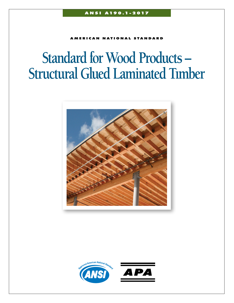**AMERICAN NATIONAL STANDARD** 

# **Standard for Wood Products – Structural Glued Laminated Tımber**



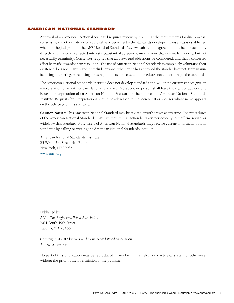# <span id="page-1-0"></span>American National Standard

Approval of an American National Standard requires review by ANSI that the requirements for due process, consensus, and other criteria for approval have been met by the standards developer. Consensus is established when, in the judgment of the ANSI Board of Standards Review, substantial agreement has been reached by directly and materially affected interests. Substantial agreement means more than a simple majority, but not necessarily unanimity. Consensus requires that all views and objections be considered, and that a concerted effort be made towards their resolution. The use of American National Standards is completely voluntary; their existence does not in any respect preclude anyone, whether he has approved the standards or not, from manufacturing, marketing, purchasing, or using products, processes, or procedures not conforming to the standards.

The American National Standards Institute does not develop standards and will in no circumstances give an interpretation of any American National Standard. Moreover, no person shall have the right or authority to issue an interpretation of an American National Standard in the name of the American National Standards Institute. Requests for interpretations should be addressed to the secretariat or sponsor whose name appears on the title page of this standard.

Caution Notice: This American National Standard may be revised or withdrawn at any time. The procedures of the American National Standards Institute require that action be taken periodically to reaffirm, revise, or withdraw this standard. Purchasers of American National Standards may receive current information on all standards by calling or writing the American National Standards Institute.

American National Standards Institute 25 West 43rd Street, 4th Floor New York, NY 10036 [www.ansi.org](http://www.ansi.org)

Published by *APA – The Engineered Wood Association* 7011 South 19th Street Tacoma, WA 98466

Copyright © 2017 by *APA – The Engineered Wood Association* All rights reserved.

No part of this publication may be reproduced in any form, in an electronic retrieval system or otherwise, without the prior written permission of the publisher.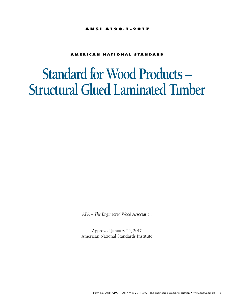# ANSI A190.1-2017

# **AMERICAN NATIONAL STANDARD**

# **Standard for Wood Products – Structural Glued Laminated Tımber**

*APA – The Engineered Wood Association*

Approved January 24, 2017 American National Standards Institute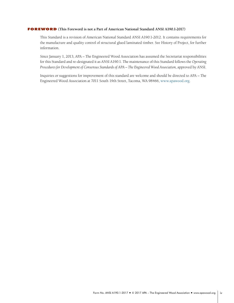### <span id="page-3-0"></span>**FOREWORD** (This Foreword is not a Part of American National Standard ANSI A190.1-2017)

This Standard is a revision of American National Standard ANSI A190.1-2012. It contains requirements for the manufacture and quality control of structural glued laminated timber. See History of Project, for further information.

Since January 1, 2013, APA – The Engineered Wood Association has assumed the Secretariat responsibilities for this Standard and re-designated it as ANSI A190.1. The maintenance of this Standard follows the *Operating*  Procedures for Development of Consensus Standards of APA - The Engineered Wood Association, approved by ANSI.

Inquiries or suggestions for improvement of this standard are welcome and should be directed to APA – The Engineered Wood Association at 7011 South 19th Street, Tacoma, WA 98466, [www.apawood.org.](http://www.apawood.org)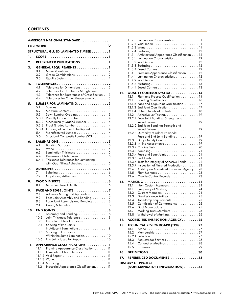# **CONTENTS**

|     |                  | . II<br><b>AMERICAN NATIONAL STANDARD</b>                                            |
|-----|------------------|--------------------------------------------------------------------------------------|
|     |                  |                                                                                      |
|     |                  | <b>STRUCTURAL GLUED LAMINATED TIMBER 1</b>                                           |
| 1.  |                  |                                                                                      |
| 2.  |                  | <b>REFERENCED PUBLICATIONS 1</b>                                                     |
| 3.  |                  | <b>GENERAL REQUIREMENTS 1</b>                                                        |
|     | 3.1<br>3.2       |                                                                                      |
|     | 3.3              |                                                                                      |
| 4.  |                  |                                                                                      |
|     | 4.1              | Tolerance for Dimensions. 2                                                          |
|     | 4.2<br>4.3       | Tolerance for Camber or Straightness3<br>Tolerance for Squareness of Cross Section 3 |
|     | 4.4              | Tolerances for Other Measurements3                                                   |
| 5.  |                  | LUMBER FOR LAMINATING3                                                               |
|     | 5.1<br>5.2       |                                                                                      |
|     | 5.3              | Sawn Lumber Gradina. 3                                                               |
|     | 5.3.1            | Visually Graded Lumber. 4                                                            |
|     | 5.3.2<br>5.3.3   | Mechanically Graded Lumber 4<br>Proof Graded Lumber 4                                |
|     | 5.3.4            | Grading of Lumber to be Ripped 4                                                     |
|     | 5.4<br>5.5       | Manufactured Lumber 4                                                                |
|     |                  | Structural Composite Lumber (SCL) 4                                                  |
| 6.  | 6.1              | Bonding Surfaces5                                                                    |
|     | 6.2              | Wane 5                                                                               |
|     | 6.3<br>6.4       | Lamination Thickness 5<br>Dimensional Tolerances 5                                   |
|     | 6.4.1            | Thickness Tolerances for Laminating                                                  |
|     |                  | with Gap-Filling Adhesives 5                                                         |
| 7.  |                  |                                                                                      |
|     | 7.1<br>7.2       | Gap-Filling Adhesives 6                                                              |
| 8.  |                  |                                                                                      |
|     | 8.1              | Maximum Insert Depth. 6                                                              |
| 9.  |                  |                                                                                      |
|     | 9.1<br>9.2       | Adhesive Mixing and Application 7<br>Face Joint Assembly and Bonding7                |
|     | 9.3              | Edge Joint Assembly and Bonding 8                                                    |
|     | 9.4              |                                                                                      |
| 10. |                  | END JOINTS 8                                                                         |
|     | 10.1<br>10.2     | Assembly and Bonding8<br>Joint Thickness Tolerance 9                                 |
|     | 10.3             | Knots In or Near End Joints 9                                                        |
|     | 10.4             | Spacing of End Joints                                                                |
|     | 10.5             | in Adjacent Laminations 9<br>Spacing of End Joints                                   |
|     |                  | Within the Same Lamination10                                                         |
|     | 10.6             | End Joints Used for Repair 10                                                        |
| 11. | 11.1             | APPEARANCE CLASSIFICATIONS 11<br>Framing Appearance Classification 11                |
|     | 11.1.1           | Lamination Characteristics11                                                         |
|     | 11.1.2           |                                                                                      |
|     | 11.1.3<br>11.1.4 | Surfacing11                                                                          |
|     | 11.2             | Industrial Appearance Classification. 11                                             |
|     |                  |                                                                                      |

|     | 11.2.1 Lamination Characteristics11<br>11.2.4 Surfacing12<br>Architectural Appearance Classification 12<br>11.3<br>11.3.1 Lamination Characteristics12<br>11.3.3 Surfacing12<br>Premium Appearance Classification 12<br>11.4<br>11.4.1 Lamination Characteristics12<br>11.4.3 Surfacing13 |  |
|-----|-------------------------------------------------------------------------------------------------------------------------------------------------------------------------------------------------------------------------------------------------------------------------------------------|--|
| 12. | <b>QUALITY CONTROL SYSTEM 14</b>                                                                                                                                                                                                                                                          |  |
|     | Plant and Process Qualification  14<br>12.1                                                                                                                                                                                                                                               |  |
|     | 12.1.1<br>Bonding Qualification 16                                                                                                                                                                                                                                                        |  |
|     | 12.1.2 Face and Edge Joint Qualification  17<br>12.1.3 End Joint Qualification. 17                                                                                                                                                                                                        |  |
|     | 12.1.4 Other Qualification Tests 18                                                                                                                                                                                                                                                       |  |
|     | 12.2                                                                                                                                                                                                                                                                                      |  |
|     | 12.2.1 Face Joint Bonding: Strength and                                                                                                                                                                                                                                                   |  |
|     | Wood Failure19<br>12.2.2 End Joint Bonding: Strength and                                                                                                                                                                                                                                  |  |
|     | Wood Failure19                                                                                                                                                                                                                                                                            |  |
|     | 12.2.3 Durability of Adhesive Bonds:                                                                                                                                                                                                                                                      |  |
|     | Face and End Joint Bonding 19                                                                                                                                                                                                                                                             |  |
|     | 12.3<br>Daily Quality Control 19                                                                                                                                                                                                                                                          |  |
|     |                                                                                                                                                                                                                                                                                           |  |
|     |                                                                                                                                                                                                                                                                                           |  |
|     | 12.3.4 Face and Edge Joints 21                                                                                                                                                                                                                                                            |  |
|     | 12.3.6 Tests for Integrity of Adhesive Bonds 22                                                                                                                                                                                                                                           |  |
|     | 12.3.7 Inspection of Finished Production 23                                                                                                                                                                                                                                               |  |
|     | Audit by an Accredited Inspection Agency23<br>12.4                                                                                                                                                                                                                                        |  |
|     | 12.5<br>Quality Control Records23<br>12.6                                                                                                                                                                                                                                                 |  |
|     |                                                                                                                                                                                                                                                                                           |  |
| 13. | <b>MARKING</b><br>Non-Custom Members. 24<br>13.1                                                                                                                                                                                                                                          |  |
|     | 13.1.1<br>Frequency of Marking 24                                                                                                                                                                                                                                                         |  |
|     | 13.2                                                                                                                                                                                                                                                                                      |  |
|     | 13.3<br>Fire-Resistance Ratings. 25                                                                                                                                                                                                                                                       |  |
|     | 13.4<br>Top Stamp Requirements 25<br>13.5<br>Certification of Conformance25                                                                                                                                                                                                               |  |
|     | Dual Manufacture 25<br>13.6                                                                                                                                                                                                                                                               |  |
|     | 13.7<br>Marking Truss Members25                                                                                                                                                                                                                                                           |  |
|     | 13.8<br>Withdrawal of Marking. 25                                                                                                                                                                                                                                                         |  |
| 14. | <b>ACCREDITED INSPECTION AGENCY26</b>                                                                                                                                                                                                                                                     |  |
| 15. | TECHNICAL REVIEW BOARD (TRB) 27                                                                                                                                                                                                                                                           |  |
|     | 15.1                                                                                                                                                                                                                                                                                      |  |
|     | 15.2<br>Membership $\ldots \ldots \ldots \ldots \ldots \ldots \ldots \ldots 27$<br>15.2.1                                                                                                                                                                                                 |  |
|     | 15.3                                                                                                                                                                                                                                                                                      |  |
|     | 15.4<br>Conduct of Meetings 28                                                                                                                                                                                                                                                            |  |
|     | 15.5                                                                                                                                                                                                                                                                                      |  |
| 16. | <b>DEFINITIONS</b>                                                                                                                                                                                                                                                                        |  |
| 17. | REFERENCED DOCUMENTS 33                                                                                                                                                                                                                                                                   |  |
|     | HISTORY OF PROJECT                                                                                                                                                                                                                                                                        |  |
|     | (NON-MANDATORY INFORMATION)34                                                                                                                                                                                                                                                             |  |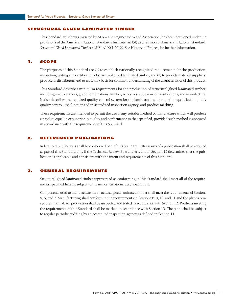#### <span id="page-5-0"></span>Structural Glued Laminated Timber

This Standard, which was initiated by APA – The Engineered Wood Association, has been developed under the provisions of the American National Standards Institute (ANSI) as a revision of American National Standard, *Structural Glued Laminated Timber* (ANSI A190.1-2012). See History of Project, for further information.

#### 1. Scope

The purposes of this Standard are (1) to establish nationally recognized requirements for the production, inspection, testing and certification of structural glued laminated timber, and (2) to provide material suppliers, producers, distributors and users with a basis for common understanding of the characteristics of this product.

This Standard describes minimum requirements for the production of structural glued laminated timber, including size tolerances, grade combinations, lumber, adhesives, appearance classifications, and manufacture. It also describes the required quality control system for the laminator including: plant qualification, daily quality control, the functions of an accredited inspection agency, and product marking.

These requirements are intended to permit the use of any suitable method of manufacture which will produce a product equal to or superior in quality and performance to that specified, provided such method is approved in accordance with the requirements of this Standard.

# 2. Referenced Publications

Referenced publications shall be considered part of this Standard. Later issues of a publication shall be adopted as part of this Standard only if the Technical Review Board referred to in Section 15 determines that the publication is applicable and consistent with the intent and requirements of this Standard.

# 3. General requirements

Structural glued laminated timber represented as conforming to this Standard shall meet all of the requirements specified herein, subject to the minor variations described in 3.1.

Components used to manufacture the structural glued laminated timber shall meet the requirements of Sections 5, 6, and 7. Manufacturing shall conform to the requirements in Sections 8, 9, 10, and 11 and the plant's procedures manual. All production shall be inspected and tested in accordance with Section 12. Products meeting the requirements of this Standard shall be marked in accordance with Section 13. The plant shall be subject to regular periodic auditing by an accredited inspection agency as defined in Section 14.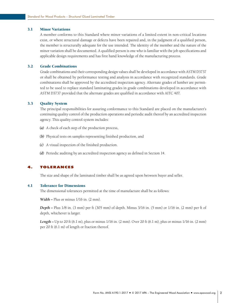# <span id="page-6-0"></span>3.1 Minor Variations

A member conforms to this Standard where minor variations of a limited extent in non-critical locations exist, or where structural damage or defects have been repaired and, in the judgment of a qualified person, the member is structurally adequate for the use intended. The identity of the member and the nature of the minor variation shall be documented. A qualified person is one who is familiar with the job specifications and applicable design requirements and has first hand knowledge of the manufacturing process.

## 3.2 Grade Combinations

Grade combinations and their corresponding design values shall be developed in accordance with ASTM D3737 or shall be obtained by performance testing and analysis in accordance with recognized standards. Grade combinations shall be approved by the accredited inspection agency. Alternate grades of lumber are permitted to be used to replace standard laminating grades in grade combinations developed in accordance with ASTM D3737 provided that the alternate grades are qualified in accordance with AITC 407.

# 3.3 Quality System

The principal responsibilities for assuring conformance to this Standard are placed on the manufacturer's continuing quality control of the production operations and periodic audit thereof by an accredited inspection agency. This quality control system includes:

- *(a)*  A check of each step of the production process,
- *(b)*  Physical tests on samples representing finished production, and
- *(c)*  A visual inspection of the finished production.
- *(d)*  Periodic auditing by an accredited inspection agency as defined in Section 14.

# 4. Tolerances

The size and shape of the laminated timber shall be as agreed upon between buyer and seller.

#### 4.1 Tolerance for Dimensions

The dimensional tolerances permitted at the time of manufacture shall be as follows:

*Width –* Plus or minus 1/16 in. (2 mm).

*Depth –* Plus 1/8 in. (3 mm) per ft (305 mm) of depth. Minus 3/16 in. (5 mm) or 1/16 in. (2 mm) per ft of depth, whichever is larger.

*Length –* Up to 20 ft (6.1 m), plus or minus 1/16 in. (2 mm). Over 20 ft (6.1 m), plus or minus 1/16 in. (2 mm) per 20 ft (6.1 m) of length or fraction thereof.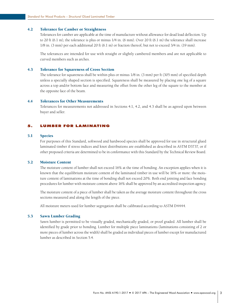# <span id="page-7-0"></span>4.2 Tolerance for Camber or Straightness

Tolerances for camber are applicable at the time of manufacture without allowance for dead load deflection. Up to 20 ft (6.1 m), the tolerance is plus or minus 1/4 in. (6 mm). Over 20 ft (6.1 m) the tolerance shall increase 1/8 in. (3 mm) per each additional 20 ft (6.1 m) or fraction thereof, but not to exceed 3/4 in. (19 mm).

The tolerances are intended for use with straight or slightly cambered members and are not applicable to curved members such as arches.

# 4.3 Tolerance for Squareness of Cross Section

The tolerance for squareness shall be within plus or minus 1/8 in. (3 mm) per ft (305 mm) of specified depth unless a specially shaped section is specified. Squareness shall be measured by placing one leg of a square across a top and/or bottom face and measuring the offset from the other leg of the square to the member at the opposite face of the beam.

# 4.4 Tolerances for Other Measurements

Tolerances for measurements not addressed in Sections 4.1, 4.2, and 4.3 shall be as agreed upon between buyer and seller.

# 5. Lumber for Laminating

#### 5.1 Species

For purposes of this Standard, softwood and hardwood species shall be approved for use in structural glued laminated timber if stress indices and knot distributions are established as described in ASTM D3737, or if other proposed criteria are determined to be in conformance with this Standard by the Technical Review Board.

# 5.2 Moisture Content

The moisture content of lumber shall not exceed 16% at the time of bonding. An exception applies when it is known that the equilibrium moisture content of the laminated timber in use will be 16% or more: the moisture content of laminations at the time of bonding shall not exceed 20%. Both end jointing and face bonding procedures for lumber with moisture content above 16% shall be approved by an accredited inspection agency.

The moisture content of a piece of lumber shall be taken as the average moisture content throughout the cross sections measured and along the length of the piece.

All moisture meters used for lumber segregation shall be calibrated according to ASTM D4444.

#### 5.3 Sawn Lumber Grading

Sawn lumber is permitted to be visually graded, mechanically graded, or proof graded. All lumber shall be identified by grade prior to bonding. Lumber for multiple piece laminations (laminations consisting of 2 or more pieces of lumber across the width) shall be graded as individual pieces of lumber except for manufactured lumber as described in Section 5.4.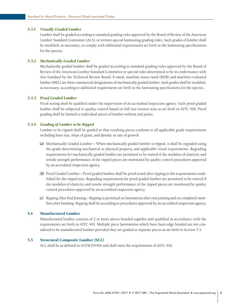#### <span id="page-8-0"></span>*5.3.1 Visually Graded Lumber*

Lumber shall be graded according to standard grading rules approved by the Board of Review of the American Lumber Standard Committee (ALS), or written special laminating grading rules. Such grades of lumber shall be modified, as necessary, to comply with additional requirements set forth in the laminating specifications for the species.

# *5.3.2 Mechanically Graded Lumber*

Mechanically graded lumber shall be graded according to standard grading rules approved by the Board of Review of the American Lumber Standard Committee or special rules determined to be in conformance with this Standard by the Technical Review Board. E-rated, machine stress rated (MSR) and machine evaluated lumber (MEL) are three commercial designations of mechanically graded lumber. Such grades shall be modified, as necessary, according to additional requirements set forth in the laminating specifications for the species.

#### *5.3.3 Proof Graded Lumber*

Proof testing shall be qualified under the supervision of an accredited inspection agency. Such proof graded lumber shall be subjected to quality control based on full size tension tests as set forth in AITC 406. Proof grading shall be limited to individual pieces of lumber without end joints.

#### *5.3.4 Grading of Lumber to be Ripped*

Lumber to be ripped shall be graded so that resulting pieces conform to all applicable grade requirements including knot size, slope of grain, and density or rate of growth.

- *(a)*  Mechanically Graded Lumber When mechanically graded lumber is ripped, it shall be regraded using the grade-determining mechanical or physical property and applicable visual requirements. Regrading requirements for mechanically graded lumber are permitted to be waived if the modulus of elasticity and tensile strength performance of the ripped pieces are monitored by quality control procedures approved by an accredited inspection agency.
- (b) Proof Graded Lumber Proof graded lumber shall be proof tested after ripping to the requirements established for the ripped size. Regrading requirements for proof graded lumber are permitted to be waived if the modulus of elasticity and tensile strength performance of the ripped pieces are monitored by quality control procedures approved by an accredited inspection agency.
- *(c)*  Ripping After End Jointing Ripping is permitted on laminations after end jointing and on completed members after bonding. Ripping shall be according to procedures approved by an accredited inspection agency.

# 5.4 Manufactured Lumber

Manufactured lumber consists of 2 or more pieces bonded together and qualified in accordance with the requirements set forth in AITC 401. Multiple piece laminations which have been edge bonded are not considered to be manufactured lumber provided they are graded as separate pieces as set forth in Section 5.3.

# 5.5 Structural Composite Lumber (SCL)

SCL shall be as defined in ASTM D5456 and shall meet the requirements of AITC 402.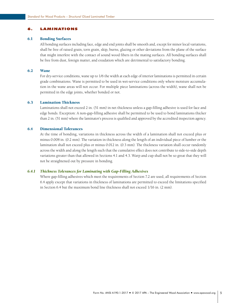# <span id="page-9-0"></span>6. Laminations

### 6.1 Bonding Surfaces

All bonding surfaces including face, edge and end joints shall be smooth and, except for minor local variations, shall be free of raised grain, torn grain, skip, burns, glazing or other deviations from the plane of the surface that might interfere with the contact of sound wood fibers in the mating surfaces. All bonding surfaces shall be free from dust, foreign matter, and exudation which are detrimental to satisfactory bonding.

#### 6.2 Wane

For dry-service conditions, wane up to 1/6 the width at each edge of interior laminations is permitted in certain grade combinations. Wane is permitted to be used in wet-service conditions only where moisture accumulation in the wane areas will not occur. For multiple piece laminations (across the width), wane shall not be permitted in the edge joints, whether bonded or not.

#### 6.3 Lamination Thickness

Laminations shall not exceed 2 in. (51 mm) in net thickness unless a gap-filling adhesive is used for face and edge bonds. Exception: A non-gap-filling adhesive shall be permitted to be used to bond laminations thicker than 2 in. (51 mm) where the laminator's process is qualified and approved by the accredited inspection agency.

# 6.4 Dimensional Tolerances

At the time of bonding, variations in thickness across the width of a lamination shall not exceed plus or minus 0.008 in. (0.2 mm). The variation in thickness along the length of an individual piece of lumber or the lamination shall not exceed plus or minus 0.012 in. (0.3 mm). The thickness variation shall occur randomly across the width and along the length such that the cumulative effect does not contribute to side-to-side depth variations greater than that allowed in Sections 4.1 and 4.3. Warp and cup shall not be so great that they will not be straightened out by pressure in bonding.

#### *6.4.1 Thickness Tolerances for Laminating with Gap-Filling Adhesives*

Where gap-filling adhesives which meet the requirements of Section 7.2 are used, all requirements of Section 6.4 apply except that variations in thickness of laminations are permitted to exceed the limitations specified in Section 6.4 but the maximum bond line thickness shall not exceed 1/16 in. (2 mm).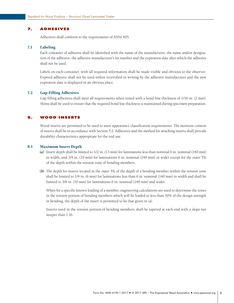# <span id="page-10-0"></span>7. Adhesives

Adhesives shall conform to the requirements of ANSI 405.

#### 7.1 Labeling

Each container of adhesive shall be identified with the name of the manufacturer, the name and/or designation of the adhesive, the adhesive manufacturer's lot number and the expiration date after which the adhesive shall not be used.

Labels on each container, with all required information shall be made visible and obvious to the observer. Expired adhesive shall not be used unless recertified in writing by the adhesive manufacturer and the new expiration date is displayed in an obvious place.

# 7.2 Gap-Filling Adhesives

Gap filling adhesives shall meet all requirements when tested with a bond line thickness of 1/16 in. (2 mm). Shims shall be used to ensure that the required bond line thickness is maintained during specimen preparation.

# 8. Wood Inserts

Wood inserts are permitted to be used to meet appearance classification requirements. The moisture content of inserts shall be in accordance with Section 5.2. Adhesives and the method for attaching inserts shall provide durability characteristics appropriate for the end use.

#### 8.1 Maximum Insert Depth

- *(a)*  Insert depth shall be limited to 1/2 in. (13 mm) for laminations less than nominal 6 in. nominal (140 mm) in width, and 3/4 in. (19 mm) for laminations 6 in. nominal (140 mm) or wider except for the outer 5% of the depth within the tension zone of bending members.
- **(b)** The depth for inserts located in the outer 5% of the depth of a bending member within the tension zone shall be limited to 1/4 in. (6 mm) for laminations less than 6 in. nominal (140 mm) in width and shall be limited to 3/8 in. (10 mm) for laminations 6 in. nominal (140 mm) and wider.

When for a specific known loading of a member, engineering calculations are used to determine the zones in the tension portion of bending members which will be loaded to less than 50% of the design strength in bending, the depth of the insert is permitted to be that given in (a).

Inserts used in the tension portion of bending members shall be tapered at each end with a slope not steeper than 1:16.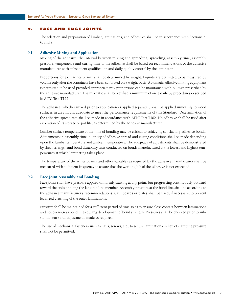### <span id="page-11-0"></span>9. Face and Edge Joints

The selection and preparation of lumber, laminations, and adhesives shall be in accordance with Sections 5, 6, and 7.

# 9.1 Adhesive Mixing and Application

Mixing of the adhesive, the interval between mixing and spreading, spreading, assembly time, assembly pressure, temperature and curing time of the adhesive shall be based on recommendations of the adhesive manufacturer with subsequent qualification and daily quality control by the laminator.

Proportions for each adhesive mix shall be determined by weight. Liquids are permitted to be measured by volume only after the containers have been calibrated on a weight basis. Automatic adhesive mixing equipment is permitted to be used provided appropriate mix proportions can be maintained within limits prescribed by the adhesive manufacturer. The mix ratio shall be verified a minimum of once daily by procedures described in AITC Test T122.

The adhesive, whether mixed prior to application or applied separately shall be applied uniformly to wood surfaces in an amount adequate to meet the performance requirements of this Standard. Determination of the adhesive spread rate shall be made in accordance with AITC Test T102. No adhesive shall be used after expiration of its storage or pot life, as determined by the adhesive manufacturer.

Lumber surface temperature at the time of bonding may be critical to achieving satisfactory adhesive bonds. Adjustments in assembly time, quantity of adhesive spread and curing conditions shall be made depending upon the lumber temperature and ambient temperature. The adequacy of adjustments shall be demonstrated by shear strength and bond durability tests conducted on bonds manufactured at the lowest and highest temperatures at which laminating takes place.

The temperature of the adhesive mix and other variables as required by the adhesive manufacturer shall be measured with sufficient frequency to assure that the working life of the adhesive is not exceeded.

# 9.2 Face Joint Assembly and Bonding

Face joints shall have pressure applied uniformly starting at any point, but progressing continuously outward toward the ends or along the length of the member. Assembly pressure at the bond line shall be according to the adhesive manufacturer's recommendations. Caul boards or plates shall be used, if necessary, to prevent localized crushing of the outer laminations.

Pressure shall be maintained for a sufficient period of time so as to ensure close contact between laminations and not over-stress bond lines during development of bond strength. Pressures shall be checked prior to substantial cure and adjustments made as required.

The use of mechanical fasteners such as nails, screws, etc., to secure laminations in lieu of clamping pressure shall not be permitted.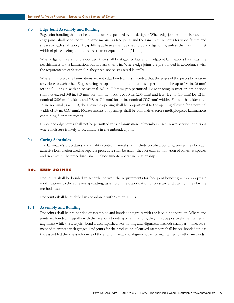# <span id="page-12-0"></span>9.3 Edge Joint Assembly and Bonding

Edge joint bonding shall not be required unless specified by the designer. When edge joint bonding is required, edge joints shall be tested in the same manner as face joints and the same requirements for wood failure and shear strength shall apply. A gap filling adhesive shall be used to bond edge joints, unless the maximum net width of pieces being bonded is less than or equal to 2 in. (51 mm).

When edge joints are not pre-bonded, they shall be staggered laterally in adjacent laminations by at least the net thickness of the lamination, but not less than 1 in. Where edge joints are pre-bonded in accordance with the requirements of Section 9.2, they need not be staggered laterally.

Where multiple-piece laminations are not edge bonded, it is intended that the edges of the pieces be reasonably close to each other. Edge spacing in top and bottom laminations is permitted to be up to 1/4 in. (6 mm) for the full length with an occasional 3/8 in. (10 mm) gap permitted. Edge spacing in interior laminations shall not exceed 3/8 in. (10 mm) for nominal widths of 10 in. (235 mm) and less, 1/2 in. (13 mm) for 12 in. nominal (286 mm) widths and 5/8 in. (16 mm) for 14 in. nominal (337 mm) widths. For widths wider than 14 in. nominal (337 mm), the allowable opening shall be proportional to the opening allowed for a nominal width of 14 in. (337 mm). Measurements of openings shall be cumulative across multiple-piece laminations containing 3 or more pieces.

Unbonded edge joints shall not be permitted in face laminations of members used in wet service conditions where moisture is likely to accumulate in the unbonded joint.

# 9.4 Curing Schedules

The laminator's procedures and quality control manual shall include certified bonding procedures for each adhesive formulation used. A separate procedure shall be established for each combination of adhesive, species and treatment. The procedures shall include time-temperature relationships.

#### 10. End Joints

End joints shall be bonded in accordance with the requirements for face joint bonding with appropriate modifications to the adhesive spreading, assembly times, application of pressure and curing times for the methods used.

End joints shall be qualified in accordance with Section 12.1.3.

#### 10.1 Assembly and Bonding

End joints shall be pre-bonded or assembled and bonded integrally with the face joint operation. Where end joints are bonded integrally with the face joint bonding of laminations, they must be positively maintained in alignment while the face joint bond is accomplished. Positioning and alignment methods shall permit measurement of tolerances with gauges. End joints for the production of curved members shall be pre-bonded unless the assembled thickness tolerance of the end joint area and alignment can be maintained by other methods.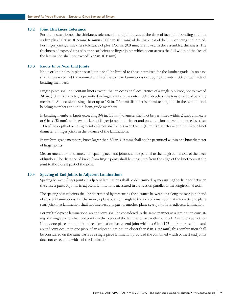# <span id="page-13-0"></span>10.2 Joint Thickness Tolerance

For plane scarf joints, the thickness tolerance in end joint areas at the time of face joint bonding shall be within plus 0.020 in. (0.5 mm) to minus 0.005 in. (0.1 mm) of the thickness of the lumber being end jointed. For finger joints, a thickness tolerance of plus 1/32 in. (0.8 mm) is allowed in the assembled thickness. The thickness of exposed tips of plane scarf joints or finger joints which occur across the full width of the face of the lamination shall not exceed 1/32 in. (0.8 mm).

#### 10.3 Knots In or Near End Joints

Knots or knotholes in plane scarf joints shall be limited to those permitted for the lumber grade. In no case shall they exceed 1/4 the nominal width of the piece in laminations occupying the outer 10% on each side of bending members.

Finger joints shall not contain knots except that an occasional occurrence of a single pin knot, not to exceed 3/8 in. (10 mm) diameter, is permitted in finger joints in the outer 10% of depth on the tension side of bending members. An occasional single knot up to 1/2 in. (13 mm) diameter is permitted in joints in the remainder of bending members and in uniform-grade members.

In bending members, knots exceeding 3/8 in. (10 mm) diameter shall not be permitted within 2 knot diameters or 6 in. (152 mm), whichever is less, of finger joints in the inner and outer tension zones (in no case less than 10% of the depth of bending members), nor shall knots over 1/2 in. (13 mm) diameter occur within one knot diameter of finger joints in the balance of the laminations.

In uniform-grade members, knots larger than 3/4 in. (19 mm) shall not be permitted within one knot diameter of finger joints.

Measurement of knot diameter for spacing near end joints shall be parallel to the longitudinal axis of the piece of lumber. The distance of knots from finger joints shall be measured from the edge of the knot nearest the joint to the closest part of the joint.

#### 10.4 Spacing of End Joints in Adjacent Laminations

Spacing between finger joints in adjacent laminations shall be determined by measuring the distance between the closest parts of joints in adjacent laminations measured in a direction parallel to the longitudinal axis.

The spacing of scarf joints shall be determined by measuring the distance between tips along the face joint bond of adjacent laminations. Furthermore, a plane at a right angle to the axis of a member that intersects one plane scarf joint in a lamination shall not intersect any part of another plane scarf joint in an adjacent lamination.

For multiple-piece laminations, an end joint shall be considered in the same manner as a lamination consisting of a single piece when end joints in the pieces of the lamination are within 6 in. (152 mm) of each other. If only one piece of a multiple-piece lamination has an end joint within a 6 in. (152 mm) cross section, and an end joint occurs in one piece of an adjacent lamination closer than 6 in. (152 mm), this combination shall be considered on the same basis as a single piece lamination provided the combined width of the 2 end joints does not exceed the width of the lamination.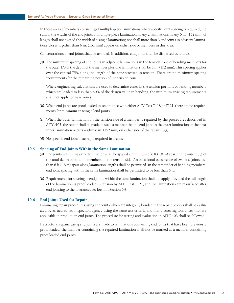<span id="page-14-0"></span>In those areas of members consisting of multiple-piece laminations where specific joint spacing is required, the sum of the widths of the end joints of multiple-piece lamination in any 2 laminations in any 6 in. (152 mm) of length shall not exceed the width of a single lamination; nor shall more than 3 end joints in adjacent laminations closer together than 6 in. (152 mm) appear on either side of members in this area.

Concentrations of end joints shall be avoided. In addition, end joints shall be dispersed as follows:

*(a)*  The minimum spacing of end joints in adjacent laminations in the tension zone of bending members for the outer 1/8 of the depth of the member plus one lamination shall be 6 in. (152 mm). This spacing applies over the central 75% along the length of the zone stressed in tension. There are no minimum spacing requirements for the remaining portion of the tension zone.

Where engineering calculations are used to determine zones in the tension portions of bending members which are loaded to less than 50% of the design value in bending, the minimum spacing requirements shall not apply to these zones.

- **(b)** When end joints are proof loaded in accordance with either AITC Test T118 or T121, there are no requirements for minimum spacing of end joints.
- *(c)*  When the outer lamination on the tension side of a member is repaired by the procedures described in AITC 403, the repair shall be made in such a manner that no end joint in the outer lamination or the next inner lamination occurs within 6 in. (152 mm) on either side of the repair tip(s).
- *(d)*  No specific end joint spacing is required in arches.

#### 10.5 Spacing of End Joints Within the Same Lamination

- *(a)*  End joints within the same lamination shall be spaced a minimum of 6 ft (1.8 m) apart in the outer 10% of the total depth of bending members on the tension side. An occasional occurrence of two end joints less than 6 ft (1.8 m) apart along lamination lengths shall be permitted. In the remainder of bending members, end joint spacing within the same lamination shall be permitted to be less than 6 ft.
- (b) Requirements for spacing of end joints within the same lamination shall not apply provided the full length of the lamination is proof loaded in tension by AITC Test T121, and the laminations are resurfaced after end jointing to the tolerances set forth in Section 6.4.

#### 10.6 End Joints Used for Repair

Laminating repair procedures using end joints which are integrally bonded in the repair process shall be evaluated by an accredited inspection agency using the same test criteria and manufacturing tolerances that are applicable to production end joints. The procedure for testing and evaluation in AITC 403 shall be followed.

If structural repairs using end joints are made to laminations containing end joints that have been previously proof loaded, the member containing the repaired lamination shall not be marked as a member containing proof loaded end joints.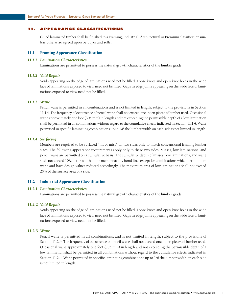# <span id="page-15-0"></span>11. Appearance classifications

Glued laminated timber shall be finished to a Framing, Industrial, Architectural or Premium classificationsunless otherwise agreed upon by buyer and seller.

# 11.1 Framing Appearance Classification

#### *11.1.1 Lamination Characteristics*

Laminations are permitted to possess the natural growth characteristics of the lumber grade.

#### *11.1.2 Void Repair*

Voids appearing on the edge of laminations need not be filled. Loose knots and open knot holes in the wide face of laminations exposed to view need not be filled. Gaps in edge joints appearing on the wide face of laminations exposed to view need not be filled.

#### *11.1.3 Wane*

Pencil wane is permitted in all combinations and is not limited in length, subject to the provisions in Section 11.1.4. The frequency of occurrence of pencil wane shall not exceed one in ten pieces of lumber used. Occasional wane approximately one foot (305 mm) in length and not exceeding the permissible depth of a low lamination shall be permitted in all combinations without regard to the cumulative effects indicated in Section 11.1.4. Wane permitted in specific laminating combinations up to 1/6 the lumber width on each side is not limited in length.

#### *11.1.4 Surfacing*

Members are required to be surfaced "hit or miss" on two sides only to match conventional framing lumber sizes. The following appearance requirements apply only to these two sides. Misses, low laminations, and pencil wane are permitted on a cumulative basis. The cumulative depth of misses, low laminations, and wane shall not exceed 10% of the width of the member at any bond line, except for combinations which permit more wane and have design values reduced accordingly. The maximum area of low laminations shall not exceed 25% of the surface area of a side.

#### 11.2 Industrial Appearance Classification

# *11.2.1 Lamination Characteristics*

Laminations are permitted to possess the natural growth characteristics of the lumber grade.

#### *11.2.2 Void Repair*

Voids appearing on the edge of laminations need not be filled. Loose knots and open knot holes in the wide face of laminations exposed to view need not be filled. Gaps in edge joints appearing on the wide face of laminations exposed to view need not be filled.

#### *11.2.3 Wane*

Pencil wane is permitted in all combinations, and is not limited in length, subject to the provisions of Section 11.2.4. The frequency of occurrence of pencil wane shall not exceed one in ten pieces of lumber used. Occasional wane approximately one foot (305 mm) in length and not exceeding the permissible depth of a low lamination shall be permitted in all combinations without regard to the cumulative effects indicated in Section 11.2.4. Wane permitted in specific laminating combinations up to 1/6 the lumber width on each side is not limited in length.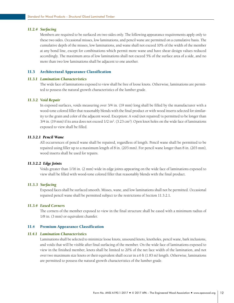#### <span id="page-16-0"></span>*11.2.4 Surfacing*

Members are required to be surfaced on two sides only. The following appearance requirements apply only to these two sides. Occasional misses, low laminations, and pencil wane are permitted on a cumulative basis. The cumulative depth of the misses, low laminations, and wane shall not exceed 10% of the width of the member at any bond line, except for combinations which permit more wane and have shear design values reduced accordingly. The maximum area of low laminations shall not exceed 5% of the surface area of a side, and no more than two low laminations shall be adjacent to one another.

# 11.3 Architectural Appearance Classification

#### *11.3.1 Lamination Characteristics*

The wide face of laminations exposed to view shall be free of loose knots. Otherwise, laminations are permitted to possess the natural growth characteristics of the lumber grade.

#### *11.3.2 Void Repair*

In exposed surfaces, voids measuring over 3/4 in. (19 mm) long shall be filled by the manufacturer with a wood-tone colored filler that reasonably blends with the final product or with wood inserts selected for similarity to the grain and color of the adjacent wood. Exception: A void (not repaired) is permitted to be longer than  $3/4$  in. (19 mm) if its area does not exceed  $1/2$  in<sup>2</sup>. ( $3.23$  cm<sup>2</sup>). Open knot holes on the wide face of laminations exposed to view shall be filled.

# *11.3.2.1 Pencil Wane*

All occurrences of pencil wane shall be repaired, regardless of length. Pencil wane shall be permitted to be repaired using filler up to a maximum length of 8 in. (203 mm). For pencil wane longer than 8 in. (203 mm), wood inserts shall be used for repairs.

#### *11.3.2.2 Edge Joints*

Voids greater than 1/16 in. (2 mm) wide in edge joints appearing on the wide face of laminations exposed to view shall be filled with wood-tone colored filler that reasonably blends with the final product.

#### *11.3.3 Surfacing*

Exposed faces shall be surfaced smooth. Misses, wane, and low laminations shall not be permitted. Occasional repaired pencil wane shall be permitted subject to the restrictions of Section 11.3.2.1.

# *11.3.4 Eased Corners*

The corners of the member exposed to view in the final structure shall be eased with a minimum radius of 1/8 in. (3 mm) or equivalent chamfer.

#### 11.4 Premium Appearance Classification

#### *11.4.1 Lamination Characteristics*

Laminations shall be selected to minimize loose knots, unsound knots, knotholes, pencil wane, bark inclusions, and voids that will be visible after final surfacing of the member. On the wide face of laminations exposed to view in the finished member, knots shall be limited to 20% of the net face width of the lamination, and not over two maximum size knots or their equivalent shall occur in a 6 ft (1.83 m) length. Otherwise, laminations are permitted to possess the natural growth characteristics of the lumber grade.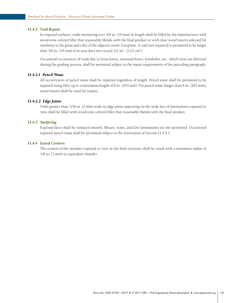#### <span id="page-17-0"></span>*11.4.2 Void Repair*

In exposed surfaces, voids measuring over 3/4 in. (19 mm) in length shall be filled by the manufacturer with wood-tone colored filler that reasonably blends with the final product or with clear wood inserts selected for similarity to the grain and color of the adjacent wood. Exception: A void (not repaired) is permitted to be longer than 3/4 in. (19 mm) if its area does not exceed 1/2 in<sup>2</sup>. (3.23 cm<sup>2</sup>).

Occasional occurrences of voids due to loose knots, unsound knots, knotholes, etc., which were not detected during the grading process, shall be permitted subject to the repair requirements of the preceding paragraph.

#### *11.4.2.1 Pencil Wane*

All occurrences of pencil wane shall be repaired regardless of length. Pencil wane shall be permitted to be repaired using filler up to a maximum length of 8 in. (203 mm). For pencil wane longer than 8 in. (203 mm), wood inserts shall be used for repairs.

# *11.4.2.2 Edge Joints*

Voids greater than 1/16 in. (2 mm) wide in edge joints appearing on the wide face of laminations exposed to view shall be filled with wood-tone colored filler that reasonably blends with the final product.

# *11.4.3 Surfacing*

Exposed faces shall be surfaced smooth. Misses, wane, and low laminations are not permitted. Occasional repaired pencil wane shall be permitted subject to the restrictions of Section 11.4.2.1.

# *11.4.4 Eased Corners*

The corners of the member exposed to view in the final structure shall be eased with a minimum radius of 1/8 in. (3 mm) or equivalent chamfer.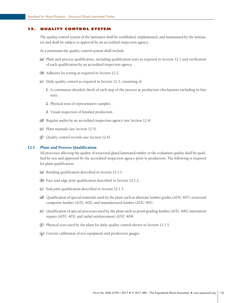# <span id="page-18-0"></span>12. Quality Control System

The quality control system of the laminator shall be established, implemented, and maintained by the laminator and shall be subject to approval by an accredited inspection agency.

At a minimum the quality control system shall include:

- *(a)*  Plant and process qualification, including qualification tests as required in Section 12.1 and verification of such qualification by an accredited inspection agency.
- *(b)*  Adhesive lot testing as required in Section 12.2.
- *(c)*  Daily quality control as required in Section 12.3, consisting of:
	- *1.*  A continuous detailed check of each step of the process at production checkpoints including in-line tests.
	- *2.*  Physical tests of representative samples.
	- *3.*  Visual inspection of finished production.
- *(d)* Regular audits by an accredited inspection agency (see Section 12.4).
- *(e)*  Plant manuals (see Section 12.5).
- *(f)*  Quality control records (see Section 12.6).

# 12.1 Plant and Process Qualification

All processes affecting the quality of structural glued laminated timber or the evaluation quality shall be qualified by test and approved by the accredited inspection agency prior to production. The following is required for plant qualification:

- *(a)*  Bonding qualification described in Section 12.1.1.
- **(b)** Face and edge joint qualification described in Section 12.1.2.
- *(c)*  End joint qualification described in Section 12.1.3.
- *(d)*  Qualification of special materials used by the plant such as alternate lumber grades (AITC 407), structural composite lumber (AITC 402), and manufactured lumber (AITC 401).
- *(e)*  Qualification of special processes used by the plant such as proof-grading lumber (AITC 406), lamination repairs (AITC 403), and radial reinforcement (AITC 404).
- *(f)*  Physical tests used by the plant for daily quality control shown in Section 12.1.5.
- *(g)*  Current calibration of test equipment and production gauges.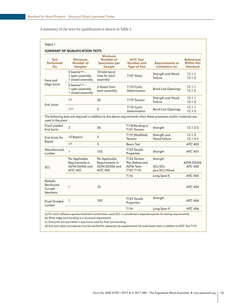A summary of the tests for qualification is shown in Table 1.

| <b>Test</b><br>Performed<br>On              | <b>Minimum</b><br>Number of<br><b>Samples</b>                          | <b>Minimum</b><br>Number of<br><b>Specimens per</b><br><b>Sample</b>   | <b>AITC Test</b><br>Number and<br><b>Type of Test</b>              | <b>Requirements or</b><br><b>Limitations for</b>                                                                 | <b>References</b><br><b>Within this</b><br><b>Standard</b> |
|---------------------------------------------|------------------------------------------------------------------------|------------------------------------------------------------------------|--------------------------------------------------------------------|------------------------------------------------------------------------------------------------------------------|------------------------------------------------------------|
| Face and<br>Edge Joints                     | 2 beams $(a,b)$ -<br>1 open assembly<br>1 closed assembly              | 10 total bond<br>lines for each<br>assembly                            | T107 Shear                                                         | Strength and Wood<br>Failure                                                                                     | 12.1.1<br>12.1.2                                           |
|                                             | 2 beams $(a,b)$ -<br>1 open assembly<br>1 closed assembly              | 3 blocks from<br>each assembly                                         | T110 Cyclic<br>Delamination                                        | <b>Bond Line Openings</b>                                                                                        | 12.1.1<br>12.1.2                                           |
|                                             | $1(\alpha)$                                                            | 30                                                                     | T119 Tension                                                       | Strength and Wood<br>Failure                                                                                     | 12.1.1<br>12.1.3                                           |
| End Joints                                  | $\mathsf{I}^{(\alpha,c)}$<br>5                                         |                                                                        | T110 Cyclic<br>Delamination                                        | <b>Bond Line Openings</b>                                                                                        | 12.1.1<br>12.1.3                                           |
| used in the plant.                          |                                                                        |                                                                        |                                                                    | The following tests are required in addition to the above requirements when these processes and/or materials are |                                                            |
| Proof Loaded<br>End Joints                  | $\overline{2}$                                                         | 30                                                                     | T118 Bending or<br>T121 Tension                                    | Strength                                                                                                         | 12.1.3.3                                                   |
| End Joints for                              | 10 Repairs                                                             | $\overline{2}$                                                         | T119 (Modified)<br>Tension                                         | Strength and<br>Wood Failure                                                                                     | 12.1.3<br>12.1.3.4                                         |
| Repair                                      | 1 <sup>(d)</sup>                                                       | 5                                                                      | <b>Beam Test</b>                                                   |                                                                                                                  | <b>AITC 403</b>                                            |
| Manufactured<br>Lumber                      | $\mathbf{1}$                                                           | 102                                                                    | T123 Tensile<br>Properties                                         | Strength                                                                                                         | <b>AITC 401</b>                                            |
| SCL                                         | Per Applicable<br>Requirements in<br>ASTM D5456 and<br><b>AITC 402</b> | Per Applicable<br>Requirements in<br>ASTM D5456 and<br><b>AITC 402</b> | T123 Tension<br>Plus Referenced<br><b>ASTM Tests</b><br>T107, T110 | Strength<br>SCL/SCL<br>plus SCL/Wood                                                                             | ASTM D5456<br><b>AITC 402</b>                              |
|                                             |                                                                        |                                                                        | T116                                                               | Long Span E                                                                                                      | <b>AITC 402</b>                                            |
| Radially<br>Reinforced<br>Curved<br>Members | $\mathbf{1}$                                                           | 10                                                                     |                                                                    |                                                                                                                  | <b>AITC 404</b>                                            |
| <b>Proof Graded</b><br>Lumber               | 1                                                                      | 102                                                                    | T123 Tensile<br>Properties                                         | Strength                                                                                                         | <b>AITC 406</b>                                            |
|                                             |                                                                        |                                                                        | T116                                                               | Long Span E                                                                                                      | <b>AITC 406</b>                                            |

(b) When edge joint bonding is a structural requirement.

(c) End joints are permitted in specimens used for face joint bonding.

(d) End joint repair procedures must be verified for adequacy by supplemental full scale beam tests in addition to AITC Test T119.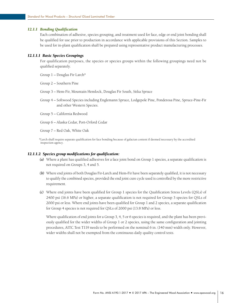#### <span id="page-20-0"></span>*12.1.1 Bonding Qualification*

Each combination of adhesive, species grouping, and treatment used for face, edge or end joint bonding shall be qualified for use prior to production in accordance with applicable provisions of this Section. Samples to be used for in-plant qualification shall be prepared using representative product manufacturing processes.

#### *12.1.1.1 Basic Species Groupings*

For qualification purposes, the species or species groups within the following groupings need not be qualified separately.

Group 1 – Douglas Fir Larch\*

Group 2 – Southern Pine

- Group 3 Hem-Fir, Mountain Hemlock, Douglas Fir South, Sitka Spruce
- Group 4 Softwood Species including Englemann Spruce, Lodgepole Pine, Ponderosa Pine, Spruce-Pine-Fir and other Western Species.
- Group 5 California Redwood
- Group 6 Alaska Cedar, Port-Orford Cedar

Group 7 – Red Oak, White Oak

\*Larch shall require separate qualification for face bonding because of galactan content if deemed necessary by the accredited inspection agency.

#### *12.1.1.2 Species group modifications for qualification:*

- *(a)*  Where a plant has qualified adhesives for a face joint bond on Group 1 species, a separate qualification is not required on Groups 3, 4 and 5.
- **(b)** Where end joints of both Douglas Fir-Larch and Hem-Fir have been separately qualified, it is not necessary to qualify the combined species, provided the end joint cure cycle used is controlled by the more restrictive requirement.
- *(c)*  Where end joints have been qualified for Group 1 species for the Qualification Stress Levels (QSLs) of 2400 psi (16.6 MPa) or higher, a separate qualification is not required for Group 3 species for QSLs of 2000 psi or less. Where end joints have been qualified for Group 1 and 2 species, a separate qualification for Group 4 species is not required for QSLs of 2000 psi (13.8 MPa) or less.

Where qualification of end joints for a Group 3, 4, 5 or 6 species is required, and the plant has been previously qualified for the wider widths of Group 1 or 2 species, using the same configuration and jointing procedures, AITC Test T119 needs to be performed on the nominal 6 in. (140 mm) width only. However, wider widths shall not be exempted from the continuous daily quality control tests.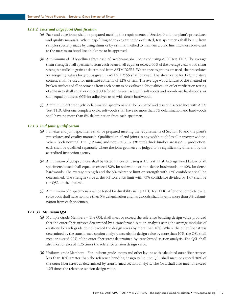## <span id="page-21-0"></span>*12.1.2 Face and Edge Joint Qualification*

- *(a)*  Face and edge joints shall be prepared meeting the requirements of Section 9 and the plant's procedures and quality manuals. Where gap-filling adhesives are to be evaluated, test specimens shall be cut from samples specially made by using shims or by a similar method to maintain a bond line thickness equivalent to the maximum bond line thickness to be approved.
- *(b)*  A minimum of 10 bondlines from each of two beams shall be tested using AITC Test T107. The average shear strength of all specimens from each beam shall equal or exceed 90% of the average clear wood shear strength parallel to grain as determined from ASTM D2555. Where species groups are used, the procedures for assigning values for groups given in ASTM D2555 shall be used. The shear value for 12% moisture content shall be used for moisture contents of 12% or less. The average wood failure of the sheared or broken surfaces of all specimens from each beam to be evaluated for qualification or lot verification testing of adhesives shall equal or exceed 80% for adhesives used with softwoods and non-dense hardwoods, or shall equal or exceed 60% for adhesives used with dense hardwoods.
- *(c)*  A minimum of three cyclic delamination specimens shall be prepared and tested in accordance with AITC Test T110. After one complete cycle, softwoods shall have no more than 5% delamination and hardwoods shall have no more than 8% delamination from each specimen.

#### *12.1.3 End Joint Qualification*

- *(a)*  Full-size end joint specimens shall be prepared meeting the requirements of Section 10 and the plant's procedures and quality manuals. Qualification of end joints in any width qualifies all narrower widths. Where both nominal 1 in. (19 mm) and nominal 2 in. (38 mm) thick lumber are used in production, each shall be qualified separately where the joint geometry is judged to be significantly different by the accredited inspection agency.
- *(b)*  A minimum of 30 specimens shall be tested in tension using AITC Test T119. Average wood failure of all specimens tested shall equal or exceed 80% for softwoods or non-dense hardwoods, or 60% for dense hardwoods. The average strength and the 5% tolerance limit on strength with 75% confidence shall be determined. The strength value at the 5% tolerance limit with 75% confidence divided by 1.67 shall be the QSL for the process.
- *(c)*  A minimum of 5 specimens shall be tested for durability using AITC Test T110. After one complete cycle, softwoods shall have no more than 5% delamination and hardwoods shall have no more than 8% delamination from each specimen.

# *12.1.3.1 Minimum QSL*

- *(a)*  Multiple Grade Members The QSL shall meet or exceed the reference bending design value provided that the outer fiber stresses determined by a transformed section analysis using the average modulus of elasticity for each grade do not exceed the design stress by more than 10%. Where the outer fiber stress determined by the transformed section analysis exceeds the design value by more than 10%, the QSL shall meet or exceed 90% of the outer fiber stress determined by transformed section analysis. The QSL shall also meet or exceed 1.25 times the reference tension design value.
- *(b)* Uniform-grade Members For uniform-grade layups and other layups with calculated outer fiber stresses less than 10% greater than the reference bending design value, the QSL shall meet or exceed 90% of the outer fiber stress as determined by transformed section analysis. The QSL shall also meet or exceed 1.25 times the reference tension design value.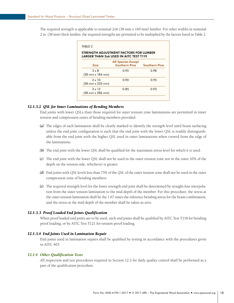<span id="page-22-0"></span>The required strength is applicable to nominal 2x6 (38 mm x 140 mm) lumber. For other widths in nominal 2 in. (38 mm) thick lumber, the required strengths are permitted to be multiplied by the factors listed in Table 2.

|                                   | STRENGTH ADJUSTMENT FACTORS FOR LUMBER<br><b>LARGER THAN 2x6 USED IN AITC TEST T119</b> |                      |  |
|-----------------------------------|-----------------------------------------------------------------------------------------|----------------------|--|
| <b>Size</b>                       | <b>All Species Except</b><br><b>Southern Pine</b>                                       | <b>Southern Pine</b> |  |
| $2 \times 8$<br>(38 mm x 184 mm)  | 0.95                                                                                    | 0.98                 |  |
| $2 \times 10$<br>(38 mm x 235 mm) | 0.90                                                                                    | 0.95                 |  |
| $2 \times 12$<br>(38 mm x 286 mm) | 0.85                                                                                    | 0.93                 |  |

# *12.1.3.2 QSL for Inner Laminations of Bending Members*

End joints with lower QSLs than those required for outer tension zone laminations are permitted in inner tension and compression zones of bending members provided:

- *(a)*  The edges of each lamination shall be clearly marked to identify the strength level until beam surfacing unless the end joint configuration is such that the end joint with the lower QSL is readily distinguishable from the end joint with the higher QSL used in outer laminations when viewed from the edge of the laminations.
- **(b)** The end joint with the lower QSL shall be qualified for the maximum stress level for which it is used.
- *(c)*  The end joint with the lower QSL shall not be used in the outer tension zone nor in the outer 10% of the depth on the tension side, whichever is greater.
- *(d)*  End joints with QSL levels less than 75% of the QSL of the outer tension zone shall not be used in the outer compression zone of bending members.
- *(e)*  The required strength level for the lower strength end joint shall be determined by straight-line interpolation from the outer tension lamination to the mid-depth of the member. For this procedure, the stress at the outer tension lamination shall be the 1.67 times the reference bending stress for the beam combination, and the stress at the mid-depth of the member shall be taken as zero.

# *12.1.3.3 Proof Loaded End Joints Qualification*

When proof loaded end joints are to be used, such end joints shall be qualified by AITC Test T118 for bending proof loading; or by AITC Test T121 for tension proof loading.

#### *12.1.3.4 End Joints Used in Lamination Repair*

End joints used in lamination repairs shall be qualified by testing in accordance with the procedures given in AITC 403.

## *12.1.4 Other Qualification Tests*

All inspection and test procedures required in Section 12.2 for daily quality control shall be performed as a part of the qualification procedure.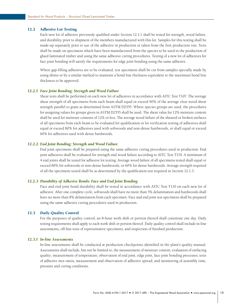# <span id="page-23-0"></span>12.2 Adhesive Lot Testing

Each new lot of adhesive previously qualified under Section 12.1.1 shall be tested for strength, wood failure, and durability prior to shipment of the members manufactured with this lot. Samples for this testing shall be made-up separately prior to use of the adhesive in production or taken from the first production run. Tests shall be made on specimens which have been manufactured from the species to be used in the production of glued laminated timber and using the same adhesive curing procedures. Testing of a new lot of adhesives for face joint bonding will satisfy the requirements for edge joint bonding using the same adhesive.

Where gap-filling adhesives are to be evaluated, test specimens shall be cut from samples specially made by using shims or by a similar method to maintain a bond line thickness equivalent to the maximum bond line thickness to be approved.

#### *12.2.1 Face Joint Bonding: Strength and Wood Failure*

Shear tests shall be performed on each new lot of adhesives in accordance with AITC Test T107. The average shear strength of all specimens from each beam shall equal or exceed 90% of the average clear wood shear strength parallel to grain as determined from ASTM D2555. Where species groups are used, the procedures for assigning values for groups given in ASTM D2555 shall be used. The shear value for 12% moisture content shall be used for moisture contents of 12% or less. The average wood failure of the sheared or broken surfaces of all specimens from each beam to be evaluated for qualification or lot verification testing of adhesives shall equal or exceed 80% for adhesives used with softwoods and non-dense hardwoods, or shall equal or exceed 60% for adhesives used with dense hardwoods.

# *12.2.2 End Joint Bonding: Strength and Wood Failure*

End joint specimens shall be prepared using the same adhesive curing procedures used in production. End joint adhesives shall be evaluated for strength and wood failure according to AITC Test T119. A minimum of 4 end joints shall be tested for adhesive lot testing. Average wood failure of all specimens tested shall equal or exceed 80% for softwoods or non-dense hardwoods, or 60% for dense hardwoods. Average strength required of all the specimens tested shall be as determined by the qualification test required in Section 12.1.3.

# *12.2.3 Durability of Adhesive Bonds: Face and End Joint Bonding*

Face and end joint bond durability shall be tested in accordance with AITC Test T110 on each new lot of adhesive. After one complete cycle, softwoods shall have no more than 5% delamination and hardwoods shall have no more than 8% delamination from each specimen. Face and end joint test specimens shall be prepared using the same adhesive curing procedures used in production.

#### 12.3 Daily Quality Control

For the purposes of quality control, an 8-hour work shift or portion thereof shall constitute one day. Daily testing requirements shall apply to each work shift or portion thereof. Daily quality control shall include in-line assessments, off-line tests of representative specimens, and inspection of finished production.

#### *12.3.1 In-line Assessments*

In-line assessments shall be conducted at production checkpoints identified in the plant's quality manual. Assessments shall include, but not be limited to, the measurement of moisture content; evaluation of surfacing quality; measurement of temperature; observation of end joint, edge joint, face joint bonding processes; tests of adhesive mix ratios; measurement and observation of adhesive spread; and monitoring of assembly time, pressure and curing conditions.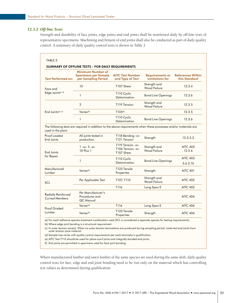# <span id="page-24-0"></span>*12.3.2 Off-line Tests*

Strength and durability of face joints, edge joints and end joints shall be monitored daily by off-line tests of representative specimens. Machining and fitment of end joints shall also be conducted as part of daily quality control. A summary of daily quality control tests is shown in Table 3.

| <b>Test Performed on:</b>                           | Minimum Number of<br><b>Specimens per Sample</b><br>per Sampling Period                                          | <b>AITC Test Number</b><br>and Type of Test           | <b>Requirements or</b><br><b>Limitations for</b> | <b>References Within</b><br>this Standard |
|-----------------------------------------------------|------------------------------------------------------------------------------------------------------------------|-------------------------------------------------------|--------------------------------------------------|-------------------------------------------|
| Face and<br>Edge Joints <sup>(a, b)</sup>           | 10                                                                                                               | T107 Shear                                            | Strength and<br><b>Wood Failure</b>              | 12.3.4                                    |
|                                                     | $\mathbf{1}$                                                                                                     | T110 Cyclic<br>Delamination                           | <b>Bond Line Openings</b>                        | 12.3.6                                    |
|                                                     | $\overline{2}$                                                                                                   | T119 Tension                                          | Strength and<br><b>Wood Failure</b>              | 12.3.5                                    |
| End Joints <sup>(a,c,f)</sup>                       | Varies <sup>(d)</sup>                                                                                            | T105 <sup>(e)</sup>                                   |                                                  | 12.3.5                                    |
|                                                     | 1                                                                                                                | T110 Cyclic<br>Delamination                           | <b>Bond Line Openings</b>                        | 12.3.6                                    |
| used in the plant.                                  | The following tests are required in addition to the above requirements when these processes and/or materials are |                                                       |                                                  |                                           |
| Proof Loaded<br>End Joints                          | All joints tested in<br>production.                                                                              | T118 Bending -or-<br>T121 Tension                     | Strength                                         | 12.3.5.3                                  |
| End Joints                                          | $1 - or - 5 - or -$<br>10 Plus 1                                                                                 | T119 Tension - or-<br>T106 Tension -or-<br>T107 Shear | Strength and<br><b>Wood Failure</b>              | <b>AITC 403</b><br>12.3.6                 |
| for Repair                                          | $\mathbf{1}$                                                                                                     | T110 Cyclic                                           | <b>Bond Line Openings</b>                        | <b>AITC 403</b>                           |
|                                                     |                                                                                                                  | Delamination                                          |                                                  | 5.6.2.10                                  |
| Manufactured<br>Lumber                              | Varies <sup>(d)</sup>                                                                                            | T123 Tensile<br>Properties                            | Strength                                         | <b>AITC 401</b>                           |
| SCL                                                 | Per Applicable Test                                                                                              | T107, T110                                            | Strength and<br><b>Wood Failure</b>              | <b>AITC 402</b>                           |
|                                                     |                                                                                                                  | T116                                                  | Long Span E                                      | <b>AITC 402</b>                           |
| <b>Radially Reinforced</b><br><b>Curved Members</b> | Per Manufacturer's<br>Procedures and<br>QC Manual                                                                |                                                       |                                                  | <b>AITC 404</b>                           |
|                                                     | Varies <sup>(d)</sup>                                                                                            | T116                                                  | Long Span E                                      | <b>AITC 406</b>                           |
| <b>Proof Graded</b><br>Lumber                       | Varies <sup>(d)</sup>                                                                                            | T123 Tensile<br>Properties                            | Strength                                         | <b>AITC 406</b>                           |

(b) Where edge joint bonding is a structural requirement.

(c) In outer tension zone(s). When no outer tension laminations are produced during sampling period, make test end joints from outer tension zone material.

(d) Sample size varies with quality control requirements per each laminator's qualification.

(e) AITC Test T115 should be used for plane scarf joints and integrally bonded end joints.

(f) End joints are permitted in specimens used for face joint bonding.

Where manufactured lumber and sawn lumber of the same species are used during the same shift, daily quality control tests for face, edge and end joint bonding need to be run only on the material which has controlling test values as determined during qualification.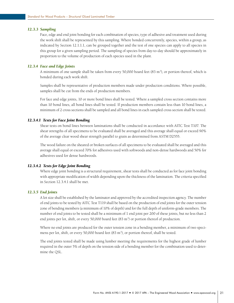#### <span id="page-25-0"></span>*12.3.3 Sampling*

Face, edge and end joint bonding for each combination of species, type of adhesive and treatment used during the work shift shall be represented by this sampling. Where bonded concurrently, species, within a group, as indicated by Section 12.1.1.1, can be grouped together and the test of one species can apply to all species in this group for a given sampling period. The sampling of species from day-to-day should be approximately in proportion to the volume of production of each species used in the plant.

#### *12.3.4 Face and Edge Joints*

A minimum of one sample shall be taken from every 50,000 board feet (83 m<sup>3</sup>), or portion thereof, which is bonded during each work shift.

Samples shall be representative of production members made under production conditions. Where possible, samples shall be cut from the ends of production members.

For face and edge joints, 10 or more bond lines shall be tested. Where a sampled cross section contains more than 10 bond lines, all bond lines shall be tested. If production members contain less than 10 bond lines, a minimum of 2 cross sections shall be sampled and all bond lines in each sampled cross section shall be tested.

#### *12.3.4.1 Tests for Face Joint Bonding*

Shear tests on bond lines between laminations shall be conducted in accordance with AITC Test T107. The shear strengths of all specimens to be evaluated shall be averaged and this average shall equal or exceed 90% of the average clear wood shear strength parallel to grain as determined from ASTM D2555.

The wood failure on the sheared or broken surfaces of all specimens to be evaluated shall be averaged and this average shall equal or exceed 70% for adhesives used with softwoods and non-dense hardwoods and 50% for adhesives used for dense hardwoods.

# *12.3.4.2 Tests for Edge Joint Bonding*

Where edge joint bonding is a structural requirement, shear tests shall be conducted as for face joint bonding with appropriate modification of width depending upon the thickness of the lamination. The criteria specified in Section 12.3.4.1 shall be met.

# *12.3.5 End Joints*

A lot size shall be established by the laminator and approved by the accredited inspection agency. The number of end joints to be tested by AITC Test T119 shall be based on the production of end joints for the outer tension zone of bending members (a minimum of 10% of depth) and for the full depth of uniform-grade members. The number of end joints to be tested shall be a minimum of 1 end joint per 200 of these joints, but no less than 2 end joints per lot, shift, or every 50,000 board feet  $(83 \text{ m}^3)$  or portion thereof of production.

Where no end joints are produced for the outer tension zone in a bending member, a minimum of two specimens per lot, shift, or every 50,000 board feet (83 m<sup>3</sup>), or portion thereof, shall be tested.

The end joints tested shall be made using lumber meeting the requirements for the highest grade of lumber required in the outer 5% of depth on the tension side of a bending member for the combination used to determine the QSL.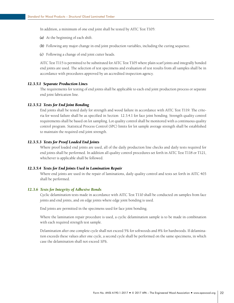<span id="page-26-0"></span>In addition, a minimum of one end joint shall be tested by AITC Test T105:

- *(a)*  At the beginning of each shift.
- **(b)** Following any major change in end joint production variables, including the curing sequence.
- *(c)*  Following a change of end joint cutter heads.

AITC Test T115 is permitted to be substituted for AITC Test T105 where plain scarf joints and integrally bonded end joints are used. The selection of test specimens and evaluation of test results from all samples shall be in accordance with procedures approved by an accredited inspection agency.

# *12.3.5.1 Separate Production Lines*

The requirements for testing of end joints shall be applicable to each end joint production process or separate end joint fabrication line.

#### *12.3.5.2 Tests for End Joint Bonding*

End joints shall be tested daily for strength and wood failure in accordance with AITC Test T119. The criteria for wood failure shall be as specified in Section 12.3.4.1 for face joint bonding. Strength quality control requirements shall be based on lot sampling. Lot quality control shall be monitored with a continuous quality control program. Statistical Process Control (SPC) limits for lot sample average strength shall be established to maintain the required end joint strength.

#### *12.3.5.3 Tests for Proof Loaded End Joints*

Where proof loaded end joints are used, all of the daily production line checks and daily tests required for end joints shall be performed. In addition all quality control procedures set forth in AITC Test T118 or T121, whichever is applicable shall be followed.

#### *12.3.5.4 Tests for End Joints Used in Lamination Repair*

Where end joints are used in the repair of laminations, daily quality control and tests set forth in AITC 403 shall be performed.

#### *12.3.6 Tests for Integrity of Adhesive Bonds*

Cyclic delamination tests made in accordance with AITC Test T110 shall be conducted on samples from face joints and end joints, and on edge joints where edge joint bonding is used.

End joints are permitted in the specimens used for face joint bonding.

Where the lamination repair procedure is used, a cyclic delamination sample is to be made in combination with each required strength test sample.

Delamination after one complete cycle shall not exceed 5% for softwoods and 8% for hardwoods. If delamination exceeds these values after one cycle, a second cycle shall be performed on the same specimens, in which case the delamination shall not exceed 10%.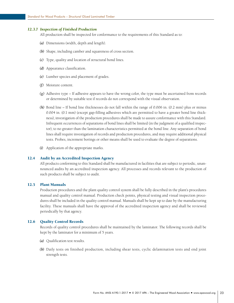#### <span id="page-27-0"></span>*12.3.7 Inspection of Finished Production*

All production shall be inspected for conformance to the requirements of this Standard as to:

- *(a)*  Dimensions (width, depth and length).
- *(b)*  Shape, including camber and squareness of cross section.
- *(c)*  Type, quality and location of structural bond lines.
- *(d)*  Appearance classification.
- *(e)*  Lumber species and placement of grades.
- *(f)*  Moisture content.
- *(g)*  Adhesive type If adhesive appears to have the wrong color, the type must be ascertained from records or determined by suitable test if records do not correspond with the visual observation.
- *(h)* Bond line If bond line thicknesses do not fall within the range of 0.006 in. (0.2 mm) plus or minus 0.004 in. (0.1 mm) (except gap-filling adhesives which are permitted to have a greater bond line thickness), investigation of the production procedures shall be made to assure conformance with this Standard. Infrequent occurrences of separations of bond lines shall be limited (in the judgment of a qualified inspector), to no greater than the lamination characteristics permitted at the bond line. Any separation of bond lines shall require investigation of records and production procedures, and may require additional physical tests. Probes, increment borings or other means shall be used to evaluate the degree of separations.
- *(i)*  Application of the appropriate marks.

# 12.4 Audit by an Accredited Inspection Agency

All products conforming to this Standard shall be manufactured in facilities that are subject to periodic, unannounced audits by an accredited inspection agency. All processes and records relevant to the production of such products shall be subject to audit.

#### 12.5 Plant Manuals

Production procedures and the plant quality control system shall be fully described in the plant's procedures manual and quality control manual. Production check points, physical testing and visual inspection procedures shall be included in the quality control manual. Manuals shall be kept up to date by the manufacturing facility. These manuals shall have the approval of the accredited inspection agency and shall be reviewed periodically by that agency.

#### 12.6 Quality Control Records

Records of quality control procedures shall be maintained by the laminator. The following records shall be kept by the laminator for a minimum of 5 years.

- *(a)*  Qualification test results.
- (b) Daily tests on finished production, including shear tests, cyclic delamination tests and end joint strength tests.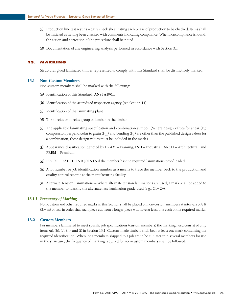- <span id="page-28-0"></span>*(c)*  Production line test results – daily check sheet listing each phase of production to be checked. Items shall be initialed as having been checked with comments indicating compliance. When noncompliance is found, the action and correction of the procedure shall be noted.
- *(d)* Documentation of any engineering analysis performed in accordance with Section 3.1.

# 13. Marking

Structural glued laminated timber represented to comply with this Standard shall be distinctively marked.

#### 13.1 Non-Custom Members

Non-custom members shall be marked with the following:

- *(a)*  Identification of this Standard, **ANSI A190.1**
- **(b)** Identification of the accredited inspection agency (see Section 14)
- *(c)*  Identification of the laminating plant
- *(d)*  The species or species group of lumber in the timber
- (e) The applicable laminating specification and combination symbol. (Where design values for shear  $(F_v)$ compression perpendicular to grain ( $F_c$ ) and bending ( $F_b$ ) are other than the published design values for a combination, these design values must be included in the mark.)
- *(f)*  Appearance classification denoted by **FRAM** Framing, **IND** Industrial, **ARCH** Architectural, and **PREM –** Premium
- *(g)*  **PROOF LOADED END JOINTS** if the member has the required laminations proof loaded
- *(h)*  A lot number or job identification number as a means to trace the member back to the production and quality control records at the manufacturing facility
- *(i)*  Alternate Tension Laminations Where alternate tension laminations are used, a mark shall be added to the member to identify the alternate face lamination grade used (e.g., C14-24).

#### *13.1.1 Frequency of Marking*

Non-custom and other required marks in this Section shall be placed on non-custom members at intervals of 8 ft (2.4 m) or less in order that each piece cut from a longer piece will have at least one each of the required marks.

#### 13.2 Custom Members

For members laminated to meet specific job specifications (custom members) the marking need consist of only items (a), (b), (c), (h), and (i) in Section 13.1. Custom-made timbers shall bear at least one mark containing the required identification. When long members shipped to a job are to be cut later into several members for use in the structure, the frequency of marking required for non-custom members shall be followed.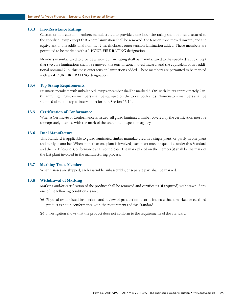# <span id="page-29-0"></span>13.3 Fire-Resistance Ratings

Custom or non-custom members manufactured to provide a one-hour fire rating shall be manufactured to the specified layup except that a core lamination shall be removed, the tension zone moved inward, and the equivalent of one additional nominal 2 in. thickness outer tension lamination added. These members are permitted to be marked with a **1-HOUR FIRE RATING** designation.

Members manufactured to provide a two-hour fire rating shall be manufactured to the specified layup except that two core laminations shall be removed, the tension zone moved inward, and the equivalent of two additional nominal 2 in. thickness outer tension laminations added. These members are permitted to be marked with a **2-HOUR FIRE RATING** designation.

#### 13.4 Top Stamp Requirements

Prismatic members with unbalanced layups or camber shall be marked "TOP" with letters approximately 2 in. (51 mm) high. Custom members shall be stamped on the top at both ends. Non-custom members shall be stamped along the top at intervals set forth in Section 13.1.1.

#### 13.5 Certification of Conformance

When a Certificate of Conformance is issued, all glued laminated timber covered by the certification must be appropriately marked with the mark of the accredited inspection agency.

# 13.6 Dual Manufacture

This Standard is applicable to glued laminated timber manufactured in a single plant, or partly in one plant and partly in another. When more than one plant is involved, each plant must be qualified under this Standard and the Certificate of Conformance shall so indicate. The mark placed on the member(s) shall be the mark of the last plant involved in the manufacturing process.

#### 13.7 Marking Truss Members

When trusses are shipped, each assembly, subassembly, or separate part shall be marked.

# 13.8 Withdrawal of Marking

Marking and/or certification of the product shall be removed and certificates (if required) withdrawn if any one of the following conditions is met.

- *(a)*  Physical tests, visual inspection, and review of production records indicate that a marked or certified product is not in conformance with the requirements of this Standard.
- **(b)** Investigation shows that the product does not conform to the requirements of the Standard.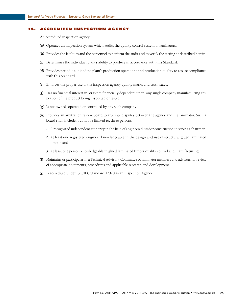#### <span id="page-30-0"></span>**ACCREDITED INSPECTION AGENCY**

An accredited inspection agency:

- *(a)*  Operates an inspection system which audits the quality control system of laminators.
- **(b)** Provides the facilities and the personnel to perform the audit and to verify the testing as described herein.
- *(c)*  Determines the individual plant's ability to produce in accordance with this Standard.
- *(d)*  Provides periodic audit of the plant's production operations and production quality to assure compliance with this Standard.
- *(e)*  Enforces the proper use of the inspection agency quality marks and certificates.
- *(f)*  Has no financial interest in, or is not financially dependent upon, any single company manufacturing any portion of the product being inspected or tested.
- *(g)*  Is not owned, operated or controlled by any such company.
- *(h)* Provides an arbitration review board to arbitrate disputes between the agency and the laminator. Such a board shall include, but not be limited to, three persons:
	- *1.*  A recognized independent authority in the field of engineered timber construction to serve as chairman,
	- *2.* At least one registered engineer knowledgeable in the design and use of structural glued laminated timber, and
	- 3. At least one person knowledgeable in glued laminated timber quality control and manufacturing.
- *(i)*  Maintains or participates in a Technical Advisory Committee of laminator members and advisors for review of appropriate documents, procedures and applicable research and development.
- *(j)*  Is accredited under ISO/IEC Standard 17020 as an Inspection Agency.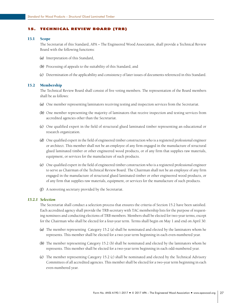#### <span id="page-31-0"></span>15. Technical Review Board (TRB)

#### 15.1 Scope

The Secretariat of this Standard, APA – The Engineered Wood Association, shall provide a Technical Review Board with the following functions:

- *(a)*  Interpretation of this Standard,
- **(b)** Processing of appeals to the suitability of this Standard, and
- *(c)*  Determination of the applicability and consistency of later issues of documents referenced in this Standard.

#### 15.2 Membership

The Technical Review Board shall consist of five voting members. The representation of the Board members shall be as follows:

- *(a)*  One member representing laminators receiving testing and inspection services from the Secretariat.
- **(b)** One member representing the majority of laminators that receive inspection and testing services from accredited agencies other than the Secretariat.
- *(c)*  One qualified expert in the field of structural glued laminated timber representing an educational or research organization.
- *(d)*  One qualified expert in the field of engineered timber construction who is a registered professional engineer or architect. This member shall not be an employee of any firm engaged in the manufacture of structural glued laminated timber or other engineered wood products, or of any firm that supplies raw materials, equipment, or services for the manufacture of such products.
- *(e)*  One qualified expert in the field of engineered timber construction who is a registered professional engineer to serve as Chairman of the Technical Review Board. The Chairman shall not be an employee of any firm engaged in the manufacture of structural glued laminated timber or other engineered wood products, or of any firm that supplies raw materials, equipment, or services for the manufacture of such products.
- *(f)*  A nonvoting secretary provided by the Secretariat.

# *15.2.1 Selection*

The Secretariat shall conduct a selection process that ensures the criteria of Section 15.2 have been satisfied. Each accredited agency shall provide the TRB secretary with TAC membership lists for the purpose of requesting nominees and conducting elections of TRB members. Members shall be elected for two-year terms, except for the Chairman who shall be elected for a four-year term. Terms shall begin on May 1 and end on April 30.

- *(a)*  The member representing Category 15.2 (a) shall be nominated and elected by the laminators whom he represents. This member shall be elected for a two-year term beginning in each even-numbered year.
- **(b)** The member representing Category 15.2 (b) shall be nominated and elected by the laminators whom he represents. This member shall be elected for a two-year term beginning in each odd-numbered year.
- *(c)*  The member representing Category 15.2 (c) shall be nominated and elected by the Technical Advisory Committees of all accredited agencies. This member shall be elected for a two-year term beginning in each even-numbered year.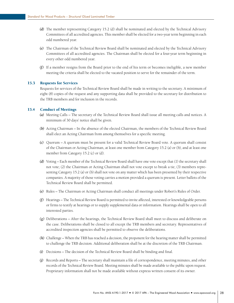- <span id="page-32-0"></span>*(d)*  The member representing Category 15.2 (d) shall be nominated and elected by the Technical Advisory Committees of all accredited agencies. This member shall be elected for a two-year term beginning in each odd numbered year.
- *(e)*  The Chairman of the Technical Review Board shall be nominated and elected by the Technical Advisory Committees of all accredited agencies. The Chairman shall be elected for a four-year term beginning in every other odd numbered year.
- *(f)*  If a member resigns from the Board prior to the end of his term or becomes ineligible, a new member meeting the criteria shall be elected to the vacated position to serve for the remainder of the term.

#### 15.3 Requests for Services

Requests for services of the Technical Review Board shall be made in writing to the secretary. A minimum of eight (8) copies of the request and any supporting data shall be provided to the secretary for distribution to the TRB members and for inclusion in the records.

# 15.4 Conduct of Meetings

- *(a)*  Meeting Calls The secretary of the Technical Review Board shall issue all meeting calls and notices. A minimum of 30 days' notice shall be given.
- (b) Acting Chairman In the absence of the elected Chairman, the members of the Technical Review Board shall elect an Acting Chairman from among themselves for a specific meeting.
- *(c)*  Quorum A quorum must be present for a valid Technical Review Board vote. A quorum shall consist of the Chairman or Acting Chairman, at least one member from Category 15.2 (a) or (b), and at least one member from Category 15.2 (c) or (d).
- *(d)*  Voting Each member of the Technical Review Board shall have one vote except that (1) the secretary shall not vote; (2) the Chairman or Acting Chairman shall not vote except to break a tie; (3) members representing Category 15.2 (a) or (b) shall not vote on any matter which has been presented by their respective companies. A majority of those voting carries a motion provided a quorum is present. Letter ballots of the Technical Review Board shall be permitted.
- *(e)*  Rules The Chairman or Acting Chairman shall conduct all meetings under Robert's Rules of Order.
- *(f)*  Hearings The Technical Review Board is permitted to invite affected, interested or knowledgeable persons or firms to testify at hearings or to supply supplemental data or information. Hearings shall be open to all interested parties.
- *(g)*  Deliberations After the hearings, the Technical Review Board shall meet to discuss and deliberate on the case. Deliberations shall be closed to all except the TRB members and secretary. Representatives of accredited inspection agencies shall be permitted to observe the deliberations.
- *(h)*  Challenge When the TRB has reached a decision, the proponent for the hearing matter shall be permitted to challenge the TRB decision. Additional deliberation shall be at the discretion of the TRB Chairman.
- *(i)*  Decisions The decision of the Technical Review Board shall be binding and final.
- *(j)*  Records and Reports The secretary shall maintain a file of correspondence, meeting minutes, and other records of the Technical Review Board. Meeting minutes shall be made available to the public upon request. Proprietary information shall not be made available without express written consent of its owner.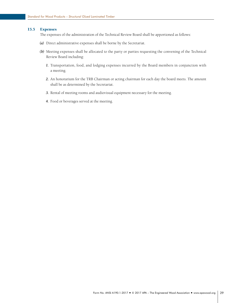# <span id="page-33-0"></span>15.5 Expenses

The expenses of the administration of the Technical Review Board shall be apportioned as follows:

- *(a)*  Direct administrative expenses shall be borne by the Secretariat.
- (b) Meeting expenses shall be allocated to the party or parties requesting the convening of the Technical Review Board including:
	- *1.* Transportation, food, and lodging expenses incurred by the Board members in conjunction with a meeting.
	- *2.* An honorarium for the TRB Chairman or acting chairman for each day the board meets. The amount shall be as determined by the Secretariat.
	- *3.* Rental of meeting rooms and audiovisual equipment necessary for the meeting.
	- *4.* Food or beverages served at the meeting.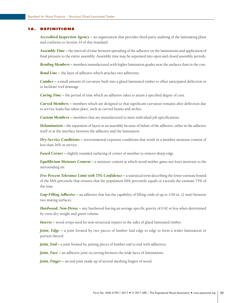# <span id="page-34-0"></span>16. Definitions

*Accredited Inspection Agency –* an organization that provides third-party auditing of the laminating plant and conforms to Section 14 of this Standard.

*Assembly Time –* the interval of time between spreading of the adhesive on the laminations and application of final pressure to the entire assembly. Assembly time may be separated into open and closed assembly periods.

*Bending Members –* members manufactured with higher lamination grades near the surfaces than in the core.

*Bond Line* – the layer of adhesive which attaches two adherents.

*Camber* – a small amount of curvature built into a glued laminated timber to offset anticipated deflection or to facilitate roof drainage.

*Curing Time* – the period of time which an adhesive takes to attain a specified degree of cure.

*Curved Members –* members which are designed so that significant curvature remains after deflection due to service loads has taken place, such as curved beams and arches.

*Custom Members –* members that are manufactured to meet individual job specifications.

*Delamination* – the separation of layers in an assembly because of failure of the adhesive, either in the adhesive itself or at the interface between the adhesive and the lamination.

*Dry-Service Conditions –* environmental exposure conditions that result in a member moisture content of less than 16% in service.

*Eased Corner* – slightly rounded surfacing of corner of member to remove sharp edge.

*Equilibrium Moisture Content –* a moisture content at which wood neither gains nor loses moisture to the surrounding air.

*Five Percent Tolerance Limit with 75% Confidence –* a statistical term describing the lower estimate bound of the fifth percentile that ensures that the population fifth percentile equals or exceeds the estimate 75% of the time.

*Gap-Filling Adhesive –* an adhesive that has the capability of filling voids of up to 1/16 in. (2 mm) between two mating surfaces.

*Hardwood, Non-Dense –* any hardwood having an average specific gravity of 0.42 or less when determined by oven-dry weight and green volume.

**Inserts** – wood strips used for non-structural repairs in the sides of glued laminated timber.

*Joint, Edge* – a joint formed by two pieces of lumber laid edge to edge to form a wider lamination or portion thereof.

*Joint, End –* a joint formed by joining pieces of lumber end to end with adhesives.

*Joint, Face* – an adhesive joint occurring between the wide faces of laminations.

*Joint, Finger* – an end joint made up of several meshing fingers of wood.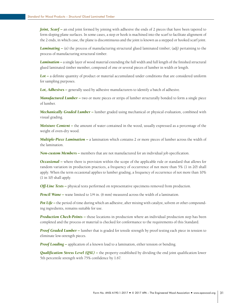*Joint, Scarf –* an end joint formed by joining with adhesive the ends of 2 pieces that have been tapered to form sloping plane surfaces. In some cases, a step or hook is machined into the scarf to facilitate alignment of the 2 ends, in which case, the plane is discontinuous and the joint is known as a stepped or hooked scarf joint.

*Laminating –* (n) the process of manufacturing structural glued laminated timber; (adj) pertaining to the process of manufacturing structural timber.

*Lamination –* a single layer of wood material extending the full width and full length of the finished structural glued laminated timber member, composed of one or several pieces of lumber in width or length.

*Lot –* a definite quantity of product or material accumulated under conditions that are considered uniform for sampling purposes.

**Lot, Adhesives** – generally used by adhesive manufacturers to identify a batch of adhesive.

*Manufactured Lumber* – two or more pieces or strips of lumber structurally bonded to form a single piece of lumber.

*Mechanically Graded Lumber –* lumber graded using mechanical or physical evaluation, combined with visual grading.

*Moisture Content –* the amount of water contained in the wood, usually expressed as a percentage of the weight of oven-dry wood.

*Multiple-Piece Lamination –* a lamination which contains 2 or more pieces of lumber across the width of the lamination.

*Non-custom Members –* members that are not manufactured for an individual job specification.

*Occasional* – where there is provision within the scope of the applicable rule or standard that allows for random variation in production practices, a frequency of occurrence of not more than 5% (1 in 20) shall apply. When the term occasional applies to lumber grading, a frequency of occurrence of not more than 10% (1 in 10) shall apply.

*Off-Line Tests* – physical tests performed on representative specimens removed from production.

*Pencil Wane* – wane limited to 1/4 in. (6 mm) measured across the width of a lamination.

*Pot Life* – the period of time during which an adhesive, after mixing with catalyst, solvent or other compounding ingredients, remains suitable for use.

*Production Check-Points* – those locations in production where an individual production step has been completed and the process or material is checked for conformance to the requirements of this Standard.

*Proof Graded Lumber –* lumber that is graded for tensile strength by proof testing each piece in tension to eliminate low-strength pieces.

*Proof Loading* – application of a known load to a lamination, either tension or bending.

*Qualification Stress Level (QSL) –* the property established by dividing the end joint qualification lower 5th percentile strength with 75% confidence by 1.67.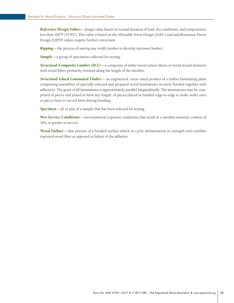*Reference Design Values –* design value based on normal duration of load, dry conditions, and temperatures less than 100ºF (37.8ºC). This value is based on the Allowable Stress Design (ASD). Load and Resistance Factor Design (LRFD) values require further conversion.

*Ripping –* the process of sawing any width lumber to develop narrower lumber.

*Sample –* a group of specimens collected for testing.

*Structural Composite Lumber (SCL) –* a composite of either wood veneer sheets or wood strand elements with wood fibers primarily oriented along the length of the member.

*Structural Glued Laminated Timber –* an engineered, stress rated product of a timber laminating plant comprising assemblies of specially selected and prepared wood laminations securely bonded together with adhesives. The grain of all laminations is approximately parallel longitudinally. The laminations may be comprised of pieces end joined to form any length, of pieces placed or bonded edge-to-edge to make wider ones or pieces bent to curved form during bonding.

*Specimen –* all or part of a sample that has been selected for testing.

*Wet-Service Conditions –* environmental exposure conditions that result in a member moisture content of 16% or greater in service.

*Wood Failure –* that portion of a bonded surface which in cyclic delamination or strength tests exhibits ruptured wood fiber as opposed to failure of the adhesive.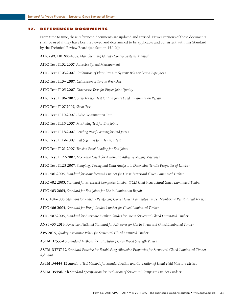#### <span id="page-37-0"></span>17. Referenced Documents

From time to time, these referenced documents are updated and revised. Newer versions of these documents shall be used if they have been reviewed and determined to be applicable and consistent with this Standard by the Technical Review Board (see Section 15.1 (c)).

**AITC/WCLIB 200-2007,** *Manufacturing Quality Control Systems Manual*

**AITC Test T102-2007,** *Adhesive Spread Measurement*

**AITC Test T103-2007,** *Calibration of Plant Pressure System: Bolts or Screw Type Jacks*

**AITC Test T104-2007,** *Calibration of Torque Wrenches*

**AITC Test T105-2007,** *Diagnostic Tests for Finger Joint Quality*

**AITC Test T106-2007,** *Strip Tension Test for End Joints Used in Lamination Repair*

**AITC Test T107-2007,** *Shear Test*

**AITC Test T110-2007,** *Cyclic Delamination Test*

**AITC Test T115-2007,** *Machining Test for End Joints*

**AITC Test T118-2007,** *Bending Proof Loading for End Joints*

**AITC Test T119-2007,** *Full Size End Joint Tension Test*

**AITC Test T121-2007,** *Tension Proof Loading for End Joints*

**AITC Test T122-2007,** *Mix Ratio Check for Automatic Adhesive Mixing Machines*

**AITC Test T123-2007,** *Sampling, Testing and Data Analysis to Determine Tensile Properties of Lumber*

**AITC 401-2005,** *Standard for Manufactured Lumber for Use in Structural Glued Laminated Timber*

**AITC 402-2005,** *Standard for Structural Composite Lumber (SCL) Used in Structural Glued Laminated Timber*

**AITC 403-2005,** *Standard for End Joints for Use in Lamination Repair*

**AITC 404-2005,** *Standard for Radially Reinforcing Curved Glued Laminated Timber Members to Resist Radial Tension*

**AITC 406-2005,** *Standard for Proof-Graded Lumber for Glued Laminated Timber*

**AITC 407-2005,** *Standard for Alternate Lumber Grades for Use in Structural Glued Laminated Timber*

**ANSI 405-2013,** *American National Standard for Adhesives for Use in Structural Glued Laminated Timber*

**APA 2015,** *Quality Assurance Policy for Structural Glued Laminted Timber*

**ASTM D2555-15** *Standard Methods for Establishing Clear Wood Strength Values*

**ASTM D3737-12** *Standard Practice for Establishing Allowable Properties for Structural Glued-Laminated Timber (Glulam)* 

**ASTM D4444-13** *Standard Test Methods for Standardization and Calibration of Hand-Held Moisture Meters*

**ASTM D5456-14b** *Standard Specification for Evaluation of Structural Composite Lumber Products*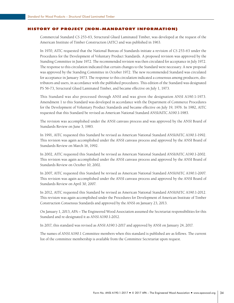#### <span id="page-38-0"></span>History of Project (Non-mandatory Information)

Commercial Standard CS 253-63, Structural Glued Laminated Timber, was developed at the request of the American Institute of Timber Construction (AITC) and was published in 1963.

In 1970, AITC requested that the National Bureau of Standards initiate a revision of CS 253-63 under the Procedures for the Development of Voluntary Product Standards. A proposed revision was approved by the Standing Committee in June 1972. The recommended revision was then circulated for acceptance in July 1972. The response to this circulation indicated that certain changes to the Standard were necessary. A new proposal was approved by the Standing Committee in October 1972. The new recommended Standard was circulated for acceptance in January 1973. The response to this circulation indicated a consensus among producers, distributors and users, in accordance with the published procedures. This edition of the Standard was designated PS 56-73, Structural Glued Laminated Timber, and became effective on July 1, 1973.

This Standard was also processed through ANSI and was given the designation ANSI A190.1-1973. Amendment 1 to this Standard was developed in accordance with the Department of Commerce Procedures for the Development of Voluntary Product Standards and became effective on July 19, 1976. In 1982, AITC requested that this Standard be revised as American National Standard ANSI/AITC A190.1-1983.

The revision was accomplished under the ANSI canvass process and was approved by the ANSI Board of Standards Review on June 3, 1983.

In 1991, AITC requested this Standard be revised as American National Standard ANSI/AITC A190.1-1992. This revision was again accomplished under the ANSI canvass process and approved by the ANSI Board of Standards Review on March 16, 1992.

In 2002, AITC requested this Standard be revised as American National Standard ANSI/AITC A190.1-2002. This revision was again accomplished under the ANSI canvass process and approved by the ANSI Board of Standards Review on October 10, 2002.

In 2007, AITC requested this Standard be revised as American National Standard ANSI/AITC A190.1-2007. This revision was again accomplished under the ANSI canvass process and approved by the ANSI Board of Standards Review on April 30, 2007.

In 2012, AITC requested this Standard be revised as American National Standard ANSI/AITC A190.1-2012. This revision was again accomplished under the Procedures for Development of American Institute of Timber Construction Consensus Standards and approved by the ANSI on January 23, 2013.

On January 1, 2013, APA – The Engineered Wood Association assumed the Secretariat responsibilities for this Standard and re-designated it as ANSI A190.1-2012.

In 2017, this standard was revised as ANSI A190.1-2017 and approved by ANSI on January 24, 2017.

The names of ANSI A190.1 Committee members when this standard is published are as follows. The current list of the committee membership is available from the Committee Secretariat upon request.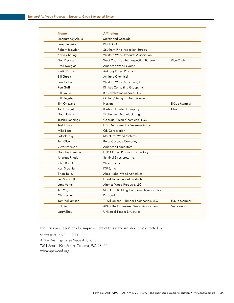| <b>Name</b>         | <b>Affiliation</b>                                |              |
|---------------------|---------------------------------------------------|--------------|
| Deepareddy Akula    | <b>McFarland Cascade</b>                          |              |
| Larry Beineke       | PFS TECO                                          |              |
| Robert Browder      | Southern Pine Inspection Bureau                   |              |
| Kevin Cheung        | Western Wood Products Association                 |              |
| Don Devisser        | West Coast Lumber Inspection Bureau               | Vice Chair   |
| <b>Brad Douglas</b> | American Wood Council                             |              |
| Kerlin Drake        | <b>Anthony Forest Products</b>                    |              |
| <b>Bill Gareis</b>  | <b>Ashland Chemical</b>                           |              |
| Paul Gilham         | Western Wood Structures, Inc.                     |              |
| Ron Goff            | Rimkus Consulting Group, Inc.                     |              |
| <b>Bill Gould</b>   | <b>ICC Evaluation Service, LLC</b>                |              |
| <b>Bill Grigsby</b> | Glulam/Heavy Timber Detailer                      |              |
| Jim Griswold        | Hexion                                            | ExSub Member |
| Jon Howard          | Rosboro Lumber Company                            | Chair        |
| Doug Hucke          | Timberweld Manufacturing                          |              |
| Jessica Jennings    | Georgia-Pacific Chemicals, LLC.                   |              |
| Jeet Kumar          | U.S. Department of Veterans Affairs               |              |
| Mike Lane           | <b>QB</b> Corporation                             |              |
| Patrick Levy        | Structural Wood Systems                           |              |
| Jeff Olson          | <b>Boise Cascade Company</b>                      |              |
| Victor Pearson      | American Laminators                               |              |
| Douglas Rammer      | <b>USDA Forest Products Laboratory</b>            |              |
| Andreas Rhude       | Sentinel Structures, Inc.                         |              |
| Glen Robak          | Weyerhaeuser                                      |              |
| Kurt Stochlia       | KSPE, Inc.                                        |              |
| <b>Brian Tolley</b> | Akzo Nobel Wood Adhesives                         |              |
| Leif Van Cott       | Unadilla Laminated Products                       |              |
| Lane Vanek          | Alamco Wood Products, LLC                         |              |
| Jim Vogt            | <b>Structural Building Components Association</b> |              |
| Chris Whelan        | Purbond                                           |              |
| Tom Williamson      | T. Williamson – Timber Engineering, LLC           | ExSub Member |
| B.J. Yeh            | APA - The Engineered Wood Association             | Secretariat  |
| Larry Zhou          | Universal Timber Structures                       |              |

Inquiries or suggestions for improvement of this standard should be directed to:

Secretariat, ANSI A190.1 *APA – The Engineered Wood Association* 7011 South 19th Street, Tacoma, WA 98466 [www.apawood.org](http://www.apawood.org)